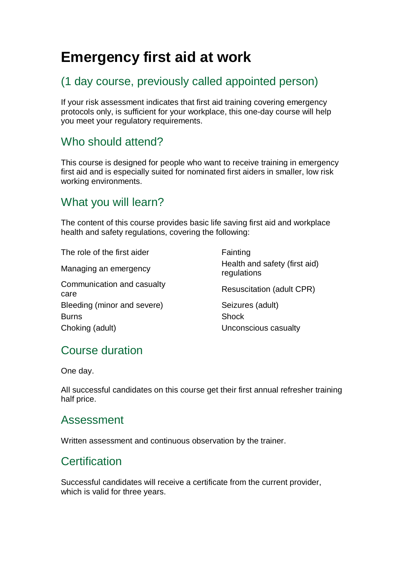# **Emergency first aid at work**

# (1 day course, previously called appointed person)

If your risk assessment indicates that first aid training covering emergency protocols only, is sufficient for your workplace, this one-day course will help you meet your regulatory requirements.

## Who should attend?

This course is designed for people who want to receive training in emergency first aid and is especially suited for nominated first aiders in smaller, low risk working environments.

# What you will learn?

The content of this course provides basic life saving first aid and workplace health and safety regulations, covering the following:

The role of the first aider Fainting Managing an emergency Communication and casualty care Bleeding (minor and severe) Seizures (adult) Burns **Burns** Shock Choking (adult) Unconscious casualty

Health and safety (first aid) regulations Resuscitation (adult CPR)

# Course duration

One day.

All successful candidates on this course get their first annual refresher training half price.

#### Assessment

Written assessment and continuous observation by the trainer.

### **Certification**

Successful candidates will receive a certificate from the current provider, which is valid for three years.